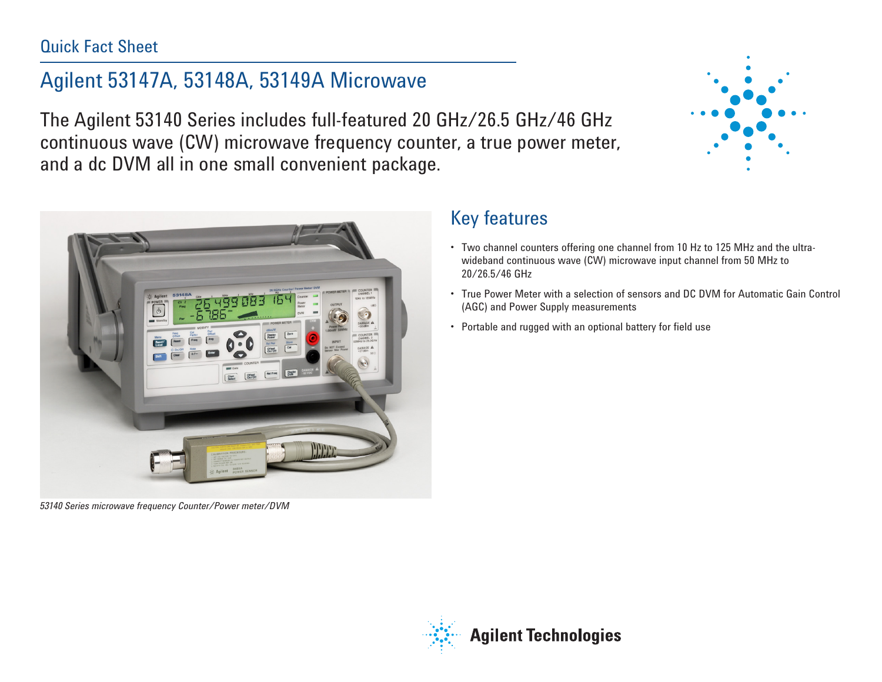### Quick Fact Sheet

# Agilent 53147A, 53148A, 53149A Microwave

The Agilent 53140 Series includes full-featured 20 GHz/26.5 GHz/46 GHz continuous wave (CW) microwave frequency counter, a true power meter, and a dc DVM all in one small convenient package.





*53140 Series microwave frequency Counter/Power meter/DVM*

## Key features

- Two channel counters offering one channel from 10 Hz to 125 MHz and the ultrawideband continuous wave (CW) microwave input channel from 50 MHz to 20/26.5/46 GHz
- • True Power Meter with a selection of sensors and DC DVM for Automatic Gain Control (AGC) and Power Supply measurements
- Portable and rugged with an optional battery for field use